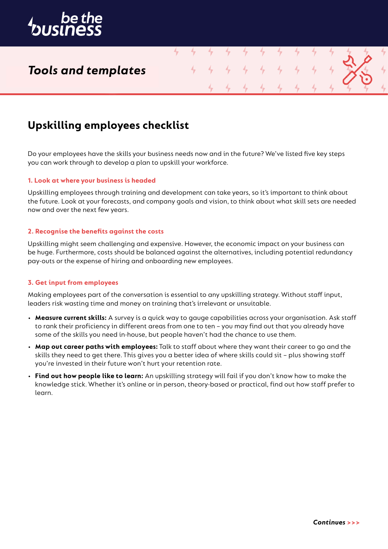

## *Tools and templates*

## **Upskilling employees checklist**

Do your employees have the skills your business needs now and in the future? We've listed five key steps you can work through to develop a plan to upskill your workforce.

4

#### **1. Look at where your business is headed**

Upskilling employees through training and development can take years, so it's important to think about the future. Look at your forecasts, and company goals and vision, to think about what skill sets are needed now and over the next few years.

#### **2. Recognise the benefits against the costs**

Upskilling might seem challenging and expensive. However, the economic impact on your business can be huge. Furthermore, costs should be balanced against the alternatives, including potential redundancy pay-outs or the expense of hiring and onboarding new employees.

#### **3. Get input from employees**

Making employees part of the conversation is essential to any upskilling strategy. Without staff input, leaders risk wasting time and money on training that's irrelevant or unsuitable.

- **Measure current skills:** A survey is a quick way to gauge capabilities across your organisation. Ask staff to rank their proficiency in different areas from one to ten – you may find out that you already have some of the skills you need in-house, but people haven't had the chance to use them.
- **Map out career paths with employees:** Talk to staff about where they want their career to go and the skills they need to get there. This gives you a better idea of where skills could sit – plus showing staff you're invested in their future won't hurt your retention rate.
- **Find out how people like to learn:** An upskilling strategy will fail if you don't know how to make the knowledge stick. Whether it's online or in person, theory-based or practical, find out how staff prefer to learn.